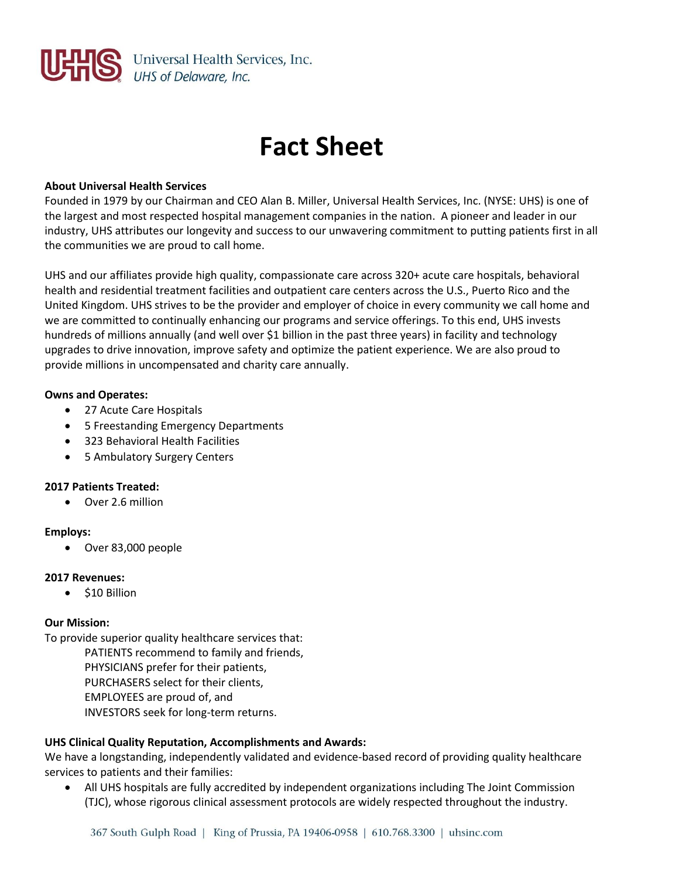

# **Fact Sheet**

#### **About Universal Health Services**

Founded in 1979 by our Chairman and CEO Alan B. Miller, Universal Health Services, Inc. (NYSE: UHS) is one of the largest and most respected hospital management companies in the nation. A pioneer and leader in our industry, UHS attributes our longevity and success to our unwavering commitment to putting patients first in all the communities we are proud to call home.

UHS and our affiliates provide high quality, compassionate care across 320+ acute care hospitals, behavioral health and residential treatment facilities and outpatient care centers across the U.S., Puerto Rico and the United Kingdom. UHS strives to be the provider and employer of choice in every community we call home and we are committed to continually enhancing our programs and service offerings. To this end, UHS invests hundreds of millions annually (and well over \$1 billion in the past three years) in facility and technology upgrades to drive innovation, improve safety and optimize the patient experience. We are also proud to provide millions in uncompensated and charity care annually.

#### **Owns and Operates:**

- 27 Acute Care Hospitals
- 5 Freestanding Emergency Departments
- 323 Behavioral Health Facilities
- 5 Ambulatory Surgery Centers

## **2017 Patients Treated:**

Over 2.6 million

#### **Employs:**

Over 83,000 people

## **2017 Revenues:**

• \$10 Billion

## **Our Mission:**

To provide superior quality healthcare services that:

PATIENTS recommend to family and friends, PHYSICIANS prefer for their patients, PURCHASERS select for their clients, EMPLOYEES are proud of, and INVESTORS seek for long-term returns.

## **UHS Clinical Quality Reputation, Accomplishments and Awards:**

We have a longstanding, independently validated and evidence-based record of providing quality healthcare services to patients and their families:

 All UHS hospitals are fully accredited by independent organizations including The Joint Commission (TJC), whose rigorous clinical assessment protocols are widely respected throughout the industry.